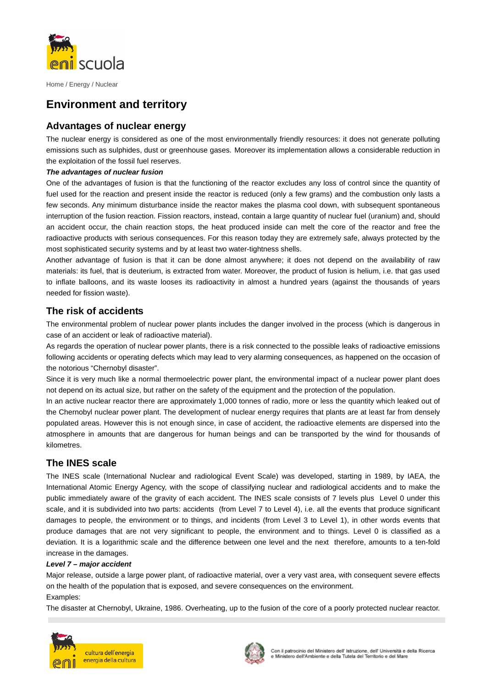

# **Environment and territory**

## **Advantages of nuclear energy**

The nuclear energy is considered as one of the most environmentally friendly resources: it does not generate polluting emissions such as sulphides, dust or greenhouse gases. Moreover its implementation allows a considerable reduction in the exploitation of the fossil fuel reserves.

### **The advantages of nuclear fusion**

One of the advantages of fusion is that the functioning of the reactor excludes any loss of control since the quantity of fuel used for the reaction and present inside the reactor is reduced (only a few grams) and the combustion only lasts a few seconds. Any minimum disturbance inside the reactor makes the plasma cool down, with subsequent spontaneous interruption of the fusion reaction. Fission reactors, instead, contain a large quantity of nuclear fuel (uranium) and, should an accident occur, the chain reaction stops, the heat produced inside can melt the core of the reactor and free the radioactive products with serious consequences. For this reason today they are extremely safe, always protected by the most sophisticated security systems and by at least two water-tightness shells.

Another advantage of fusion is that it can be done almost anywhere; it does not depend on the availability of raw materials: its fuel, that is deuterium, is extracted from water. Moreover, the product of fusion is helium, i.e. that gas used to inflate balloons, and its waste looses its radioactivity in almost a hundred years (against the thousands of years needed for fission waste).

## **The risk of accidents**

The environmental problem of nuclear power plants includes the danger involved in the process (which is dangerous in case of an accident or leak of radioactive material).

As regards the operation of nuclear power plants, there is a risk connected to the possible leaks of radioactive emissions following accidents or operating defects which may lead to very alarming consequences, as happened on the occasion of the notorious "Chernobyl disaster".

Since it is very much like a normal thermoelectric power plant, the environmental impact of a nuclear power plant does not depend on its actual size, but rather on the safety of the equipment and the protection of the population.

In an active nuclear reactor there are approximately 1,000 tonnes of radio, more or less the quantity which leaked out of the Chernobyl nuclear power plant. The development of nuclear energy requires that plants are at least far from densely populated areas. However this is not enough since, in case of accident, the radioactive elements are dispersed into the atmosphere in amounts that are dangerous for human beings and can be transported by the wind for thousands of kilometres.

## **The INES scale**

The INES scale (International Nuclear and radiological Event Scale) was developed, starting in 1989, by IAEA, the International Atomic Energy Agency, with the scope of classifying nuclear and radiological accidents and to make the public immediately aware of the gravity of each accident. The INES scale consists of 7 levels plus Level 0 under this scale, and it is subdivided into two parts: accidents (from Level 7 to Level 4), i.e. all the events that produce significant damages to people, the environment or to things, and incidents (from Level 3 to Level 1), in other words events that produce damages that are not very significant to people, the environment and to things. Level 0 is classified as a deviation. It is a logarithmic scale and the difference between one level and the next therefore, amounts to a ten-fold increase in the damages.

### **Level 7 – major accident**

Major release, outside a large power plant, of radioactive material, over a very vast area, with consequent severe effects on the health of the population that is exposed, and severe consequences on the environment. Examples:

The disaster at Chernobyl, Ukraine, 1986. Overheating, up to the fusion of the core of a poorly protected nuclear reactor.



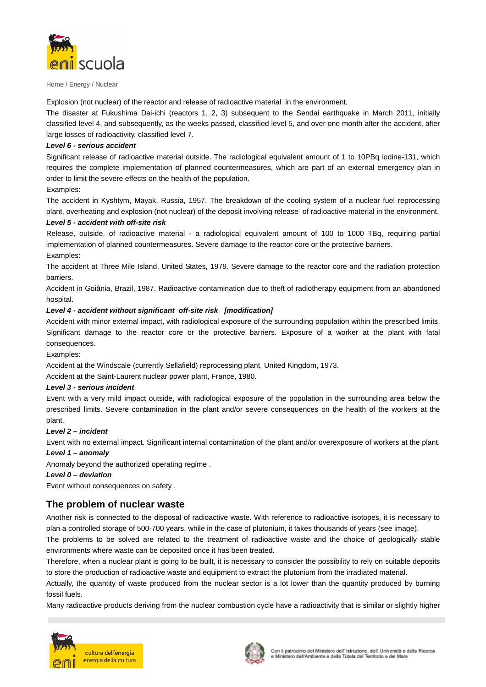

Explosion (not nuclear) of the reactor and release of radioactive material in the environment,

The disaster at Fukushima Dai-ichi (reactors 1, 2, 3) subsequent to the Sendai earthquake in March 2011, initially classified level 4, and subsequently, as the weeks passed, classified level 5, and over one month after the accident, after large losses of radioactivity, classified level 7.

### **Level 6 - serious accident**

Significant release of radioactive material outside. The radiological equivalent amount of 1 to 10PBq iodine-131, which requires the complete implementation of planned countermeasures, which are part of an external emergency plan in order to limit the severe effects on the health of the population.

### Examples:

The accident in Kyshtym, Mayak, Russia, 1957. The breakdown of the cooling system of a nuclear fuel reprocessing plant, overheating and explosion (not nuclear) of the deposit involving release of radioactive material in the environment.

#### **Level 5 - accident with off-site risk**

Release, outside, of radioactive material - a radiological equivalent amount of 100 to 1000 TBq, requiring partial implementation of planned countermeasures. Severe damage to the reactor core or the protective barriers. Examples:

The accident at Three Mile Island, United States, 1979. Severe damage to the reactor core and the radiation protection barriers.

Accident in Goiânia, Brazil, 1987. Radioactive contamination due to theft of radiotherapy equipment from an abandoned hospital.

### **Level 4 - accident without significant off-site risk [modification]**

Accident with minor external impact, with radiological exposure of the surrounding population within the prescribed limits. Significant damage to the reactor core or the protective barriers. Exposure of a worker at the plant with fatal consequences.

Examples:

Accident at the Windscale (currently Sellafield) reprocessing plant, United Kingdom, 1973.

Accident at the Saint-Laurent nuclear power plant, France, 1980.

### **Level 3 - serious incident**

Event with a very mild impact outside, with radiological exposure of the population in the surrounding area below the prescribed limits. Severe contamination in the plant and/or severe consequences on the health of the workers at the plant.

#### **Level 2 – incident**

Event with no external impact. Significant internal contamination of the plant and/or overexposure of workers at the plant. **Level 1 – anomaly**

Anomaly beyond the authorized operating regime .

#### **Level 0 – deviation**

Event without consequences on safety .

## **The problem of nuclear waste**

Another risk is connected to the disposal of radioactive waste. With reference to radioactive isotopes, it is necessary to plan a controlled storage of 500-700 years, while in the case of plutonium, it takes thousands of years (see image).

The problems to be solved are related to the treatment of radioactive waste and the choice of geologically stable environments where waste can be deposited once it has been treated.

Therefore, when a nuclear plant is going to be built, it is necessary to consider the possibility to rely on suitable deposits to store the production of radioactive waste and equipment to extract the plutonium from the irradiated material.

Actually, the quantity of waste produced from the nuclear sector is a lot lower than the quantity produced by burning fossil fuels.

Many radioactive products deriving from the nuclear combustion cycle have a radioactivity that is similar or slightly higher



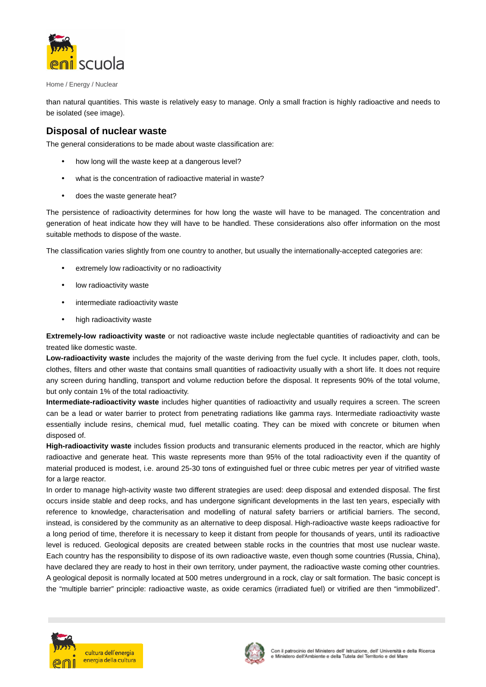

than natural quantities. This waste is relatively easy to manage. Only a small fraction is highly radioactive and needs to be isolated (see image).

## **Disposal of nuclear waste**

The general considerations to be made about waste classification are:

- how long will the waste keep at a dangerous level?
- what is the concentration of radioactive material in waste?
- does the waste generate heat?

The persistence of radioactivity determines for how long the waste will have to be managed. The concentration and generation of heat indicate how they will have to be handled. These considerations also offer information on the most suitable methods to dispose of the waste.

The classification varies slightly from one country to another, but usually the internationally-accepted categories are:

- extremely low radioactivity or no radioactivity
- low radioactivity waste
- intermediate radioactivity waste
- high radioactivity waste

**Extremely-low radioactivity waste** or not radioactive waste include neglectable quantities of radioactivity and can be treated like domestic waste.

**Low-radioactivity waste** includes the majority of the waste deriving from the fuel cycle. It includes paper, cloth, tools, clothes, filters and other waste that contains small quantities of radioactivity usually with a short life. It does not require any screen during handling, transport and volume reduction before the disposal. It represents 90% of the total volume, but only contain 1% of the total radioactivity.

**Intermediate-radioactivity waste** includes higher quantities of radioactivity and usually requires a screen. The screen can be a lead or water barrier to protect from penetrating radiations like gamma rays. Intermediate radioactivity waste essentially include resins, chemical mud, fuel metallic coating. They can be mixed with concrete or bitumen when disposed of.

**High-radioactivity waste** includes fission products and transuranic elements produced in the reactor, which are highly radioactive and generate heat. This waste represents more than 95% of the total radioactivity even if the quantity of material produced is modest, i.e. around 25-30 tons of extinguished fuel or three cubic metres per year of vitrified waste for a large reactor.

In order to manage high-activity waste two different strategies are used: deep disposal and extended disposal. The first occurs inside stable and deep rocks, and has undergone significant developments in the last ten years, especially with reference to knowledge, characterisation and modelling of natural safety barriers or artificial barriers. The second, instead, is considered by the community as an alternative to deep disposal. High-radioactive waste keeps radioactive for a long period of time, therefore it is necessary to keep it distant from people for thousands of years, until its radioactive level is reduced. Geological deposits are created between stable rocks in the countries that most use nuclear waste. Each country has the responsibility to dispose of its own radioactive waste, even though some countries (Russia, China), have declared they are ready to host in their own territory, under payment, the radioactive waste coming other countries. A geological deposit is normally located at 500 metres underground in a rock, clay or salt formation. The basic concept is the "multiple barrier" principle: radioactive waste, as oxide ceramics (irradiated fuel) or vitrified are then "immobilized".



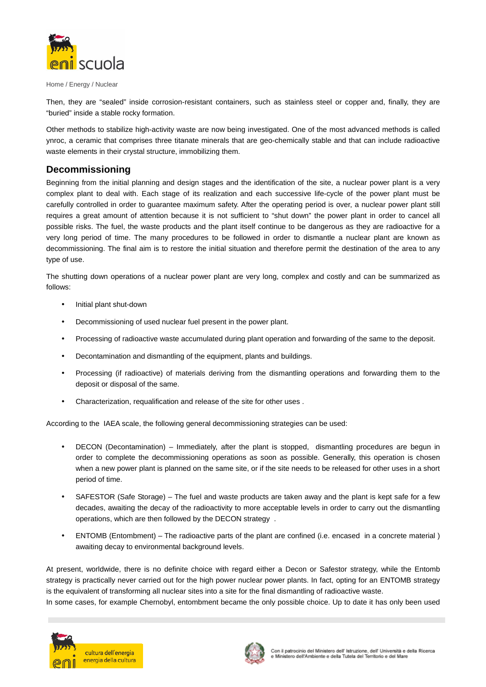

Then, they are "sealed" inside corrosion-resistant containers, such as stainless steel or copper and, finally, they are "buried" inside a stable rocky formation.

Other methods to stabilize high-activity waste are now being investigated. One of the most advanced methods is called ynroc, a ceramic that comprises three titanate minerals that are geo-chemically stable and that can include radioactive waste elements in their crystal structure, immobilizing them.

## **Decommissioning**

Beginning from the initial planning and design stages and the identification of the site, a nuclear power plant is a very complex plant to deal with. Each stage of its realization and each successive life-cycle of the power plant must be carefully controlled in order to guarantee maximum safety. After the operating period is over, a nuclear power plant still requires a great amount of attention because it is not sufficient to "shut down" the power plant in order to cancel all possible risks. The fuel, the waste products and the plant itself continue to be dangerous as they are radioactive for a very long period of time. The many procedures to be followed in order to dismantle a nuclear plant are known as decommissioning. The final aim is to restore the initial situation and therefore permit the destination of the area to any type of use.

The shutting down operations of a nuclear power plant are very long, complex and costly and can be summarized as follows:

- Initial plant shut-down
- Decommissioning of used nuclear fuel present in the power plant.
- Processing of radioactive waste accumulated during plant operation and forwarding of the same to the deposit.
- Decontamination and dismantling of the equipment, plants and buildings.
- Processing (if radioactive) of materials deriving from the dismantling operations and forwarding them to the deposit or disposal of the same.
- Characterization, requalification and release of the site for other uses .

According to the IAEA scale, the following general decommissioning strategies can be used:

- DECON (Decontamination) Immediately, after the plant is stopped, dismantling procedures are begun in order to complete the decommissioning operations as soon as possible. Generally, this operation is chosen when a new power plant is planned on the same site, or if the site needs to be released for other uses in a short period of time.
- SAFESTOR (Safe Storage) The fuel and waste products are taken away and the plant is kept safe for a few decades, awaiting the decay of the radioactivity to more acceptable levels in order to carry out the dismantling operations, which are then followed by the DECON strategy .
- ENTOMB (Entombment) The radioactive parts of the plant are confined (i.e. encased in a concrete material) awaiting decay to environmental background levels.

At present, worldwide, there is no definite choice with regard either a Decon or Safestor strategy, while the Entomb strategy is practically never carried out for the high power nuclear power plants. In fact, opting for an ENTOMB strategy is the equivalent of transforming all nuclear sites into a site for the final dismantling of radioactive waste.

In some cases, for example Chernobyl, entombment became the only possible choice. Up to date it has only been used



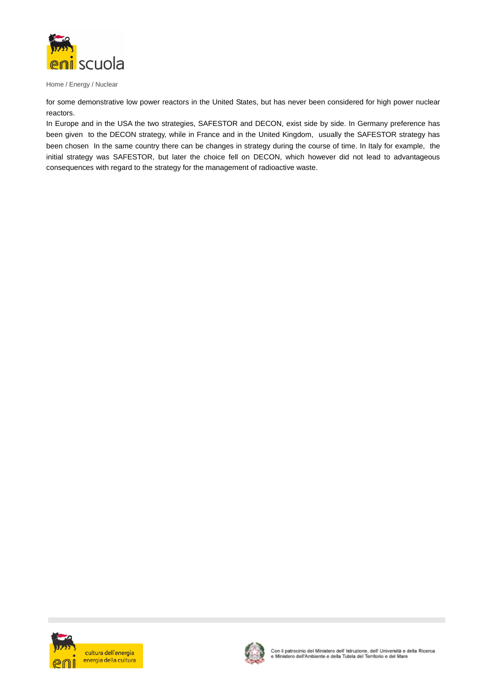

for some demonstrative low power reactors in the United States, but has never been considered for high power nuclear reactors.

In Europe and in the USA the two strategies, SAFESTOR and DECON, exist side by side. In Germany preference has been given to the DECON strategy, while in France and in the United Kingdom, usually the SAFESTOR strategy has been chosen In the same country there can be changes in strategy during the course of time. In Italy for example, the initial strategy was SAFESTOR, but later the choice fell on DECON, which however did not lead to advantageous consequences with regard to the strategy for the management of radioactive waste.